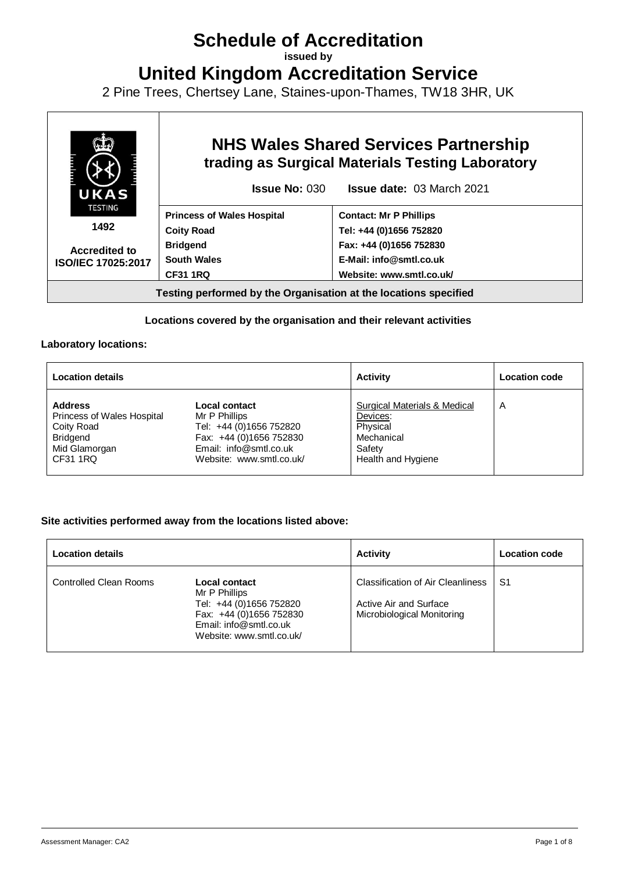# **Schedule of Accreditation**

**issued by**

**United Kingdom Accreditation Service**

2 Pine Trees, Chertsey Lane, Staines-upon-Thames, TW18 3HR, UK



## **Locations covered by the organisation and their relevant activities**

#### **Laboratory locations:**

| <b>Location details</b>           |                          | <b>Activity</b>              | <b>Location code</b> |
|-----------------------------------|--------------------------|------------------------------|----------------------|
| <b>Address</b>                    | Local contact            | Surgical Materials & Medical | A                    |
| <b>Princess of Wales Hospital</b> | Mr P Phillips            | Devices:                     |                      |
| Coity Road                        | Tel: +44 (0)1656 752820  | Physical                     |                      |
| Bridgend                          | Fax: +44 (0)1656 752830  | Mechanical                   |                      |
| Mid Glamorgan                     | Email: info@smtl.co.uk   | Safety                       |                      |
| CF31 1RQ                          | Website: www.smtl.co.uk/ | Health and Hygiene           |                      |

## **Site activities performed away from the locations listed above:**

| <b>Location details</b> |                                                                                                                                            | <b>Activity</b>                                                                                  | Location code |
|-------------------------|--------------------------------------------------------------------------------------------------------------------------------------------|--------------------------------------------------------------------------------------------------|---------------|
| Controlled Clean Rooms  | Local contact<br>Mr P Phillips<br>Tel: +44 (0)1656 752820<br>Fax: +44 (0)1656 752830<br>Email: info@smtl.co.uk<br>Website: www.smtl.co.uk/ | <b>Classification of Air Cleanliness</b><br>Active Air and Surface<br>Microbiological Monitoring | S1            |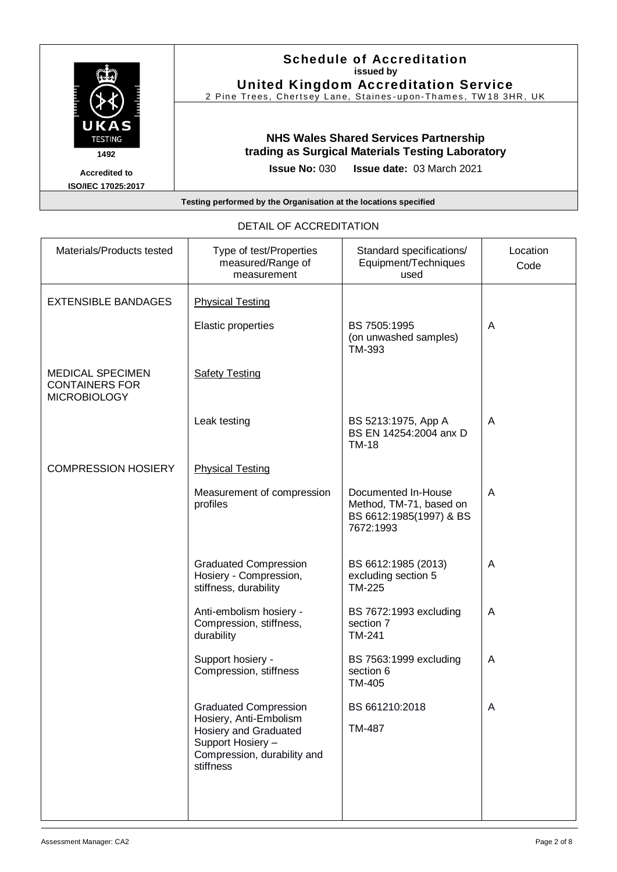| UKAS<br><b>TESTING</b><br>1492             | <b>Schedule of Accreditation</b><br>issued by<br><b>United Kingdom Accreditation Service</b><br>2 Pine Trees, Chertsey Lane, Staines-upon-Thames, TW18 3HR, UK |
|--------------------------------------------|----------------------------------------------------------------------------------------------------------------------------------------------------------------|
|                                            | <b>NHS Wales Shared Services Partnership</b><br>trading as Surgical Materials Testing Laboratory                                                               |
| <b>Accredited to</b><br>ISO/IEC 17025:2017 | <b>Issue date: 03 March 2021</b><br><b>Issue No: 030</b>                                                                                                       |
|                                            | Testing performed by the Organisation at the locations specified                                                                                               |

| Materials/Products tested                                               | Type of test/Properties<br>measured/Range of<br>measurement                                                                                      | Standard specifications/<br>Equipment/Techniques<br>used                               | Location<br>Code |
|-------------------------------------------------------------------------|--------------------------------------------------------------------------------------------------------------------------------------------------|----------------------------------------------------------------------------------------|------------------|
| <b>EXTENSIBLE BANDAGES</b>                                              | <b>Physical Testing</b>                                                                                                                          |                                                                                        |                  |
|                                                                         | Elastic properties                                                                                                                               | BS 7505:1995<br>(on unwashed samples)<br>TM-393                                        | A                |
| <b>MEDICAL SPECIMEN</b><br><b>CONTAINERS FOR</b><br><b>MICROBIOLOGY</b> | <b>Safety Testing</b>                                                                                                                            |                                                                                        |                  |
|                                                                         | Leak testing                                                                                                                                     | BS 5213:1975, App A<br>BS EN 14254:2004 anx D<br><b>TM-18</b>                          | A                |
| <b>COMPRESSION HOSIERY</b>                                              | <b>Physical Testing</b>                                                                                                                          |                                                                                        |                  |
|                                                                         | Measurement of compression<br>profiles                                                                                                           | Documented In-House<br>Method, TM-71, based on<br>BS 6612:1985(1997) & BS<br>7672:1993 | A                |
|                                                                         | <b>Graduated Compression</b><br>Hosiery - Compression,<br>stiffness, durability                                                                  | BS 6612:1985 (2013)<br>excluding section 5<br><b>TM-225</b>                            | A                |
|                                                                         | Anti-embolism hosiery -<br>Compression, stiffness,<br>durability                                                                                 | BS 7672:1993 excluding<br>section 7<br>TM-241                                          | A                |
|                                                                         | Support hosiery -<br>Compression, stiffness                                                                                                      | BS 7563:1999 excluding<br>section 6<br>TM-405                                          | A                |
|                                                                         | <b>Graduated Compression</b><br>Hosiery, Anti-Embolism<br>Hosiery and Graduated<br>Support Hosiery -<br>Compression, durability and<br>stiffness | BS 661210:2018<br><b>TM-487</b>                                                        | A                |

# DETAIL OF ACCREDITATION

Ŧ

 $\overline{\phantom{a}}$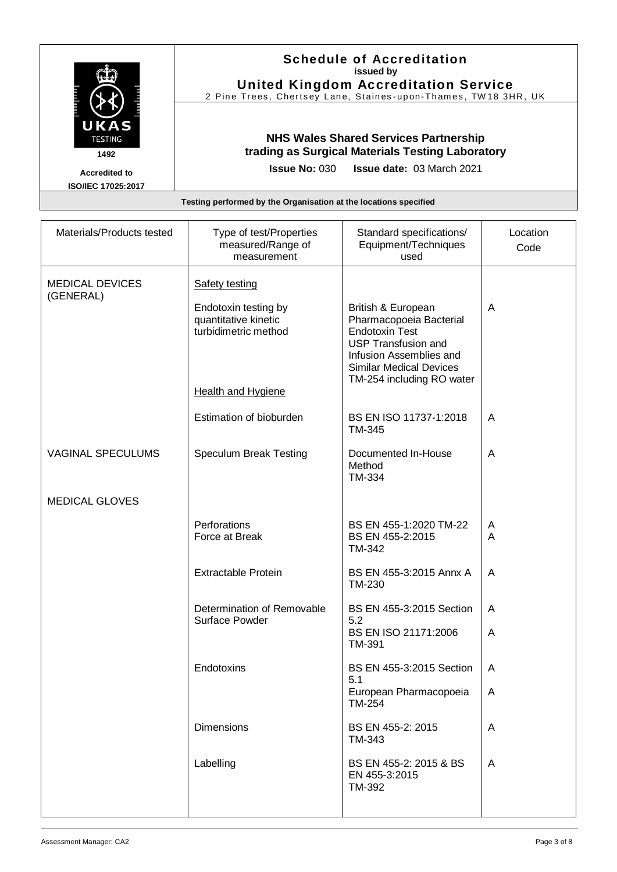|                                                                  | <b>Schedule of Accreditation</b><br>issued by<br><b>United Kingdom Accreditation Service</b><br>2 Pine Trees, Chertsey Lane, Staines-upon-Thames, TW18 3HR, UK |  |
|------------------------------------------------------------------|----------------------------------------------------------------------------------------------------------------------------------------------------------------|--|
| UKAS<br><b>TESTING</b><br>1492                                   | <b>NHS Wales Shared Services Partnership</b><br>trading as Surgical Materials Testing Laboratory                                                               |  |
| <b>Accredited to</b><br>ISO/IEC 17025:2017                       | <b>Issue No: 030 Issue date: 03 March 2021</b>                                                                                                                 |  |
| Testing performed by the Organisation at the locations specified |                                                                                                                                                                |  |

| Materials/Products tested           | Type of test/Properties<br>measured/Range of<br>measurement | Standard specifications/<br>Equipment/Techniques<br>used                                                                                                                 | Location<br>Code |
|-------------------------------------|-------------------------------------------------------------|--------------------------------------------------------------------------------------------------------------------------------------------------------------------------|------------------|
| <b>MEDICAL DEVICES</b><br>(GENERAL) | Safety testing<br>Endotoxin testing by                      | British & European                                                                                                                                                       | A                |
|                                     | quantitative kinetic<br>turbidimetric method                | Pharmacopoeia Bacterial<br><b>Endotoxin Test</b><br><b>USP Transfusion and</b><br>Infusion Assemblies and<br><b>Similar Medical Devices</b><br>TM-254 including RO water |                  |
|                                     | <b>Health and Hygiene</b>                                   |                                                                                                                                                                          |                  |
|                                     | Estimation of bioburden                                     | BS EN ISO 11737-1:2018<br>TM-345                                                                                                                                         | A                |
| <b>VAGINAL SPECULUMS</b>            | Speculum Break Testing                                      | Documented In-House<br>Method<br>TM-334                                                                                                                                  | A                |
| <b>MEDICAL GLOVES</b>               |                                                             |                                                                                                                                                                          |                  |
|                                     | Perforations<br>Force at Break                              | BS EN 455-1:2020 TM-22<br>BS EN 455-2:2015<br>TM-342                                                                                                                     | A<br>A           |
|                                     | <b>Extractable Protein</b>                                  | BS EN 455-3:2015 Annx A<br>TM-230                                                                                                                                        | A                |
|                                     | Determination of Removable<br>Surface Powder                | BS EN 455-3:2015 Section<br>5.2                                                                                                                                          | A                |
|                                     |                                                             | BS EN ISO 21171:2006<br><b>TM-391</b>                                                                                                                                    | A                |
|                                     | Endotoxins                                                  | BS EN 455-3:2015 Section<br>5.1                                                                                                                                          | A                |
|                                     |                                                             | European Pharmacopoeia<br>TM-254                                                                                                                                         | A                |
|                                     | <b>Dimensions</b>                                           | BS EN 455-2: 2015<br>TM-343                                                                                                                                              | A                |
|                                     | Labelling                                                   | BS EN 455-2: 2015 & BS<br>EN 455-3:2015<br><b>TM-392</b>                                                                                                                 | A                |
|                                     |                                                             |                                                                                                                                                                          |                  |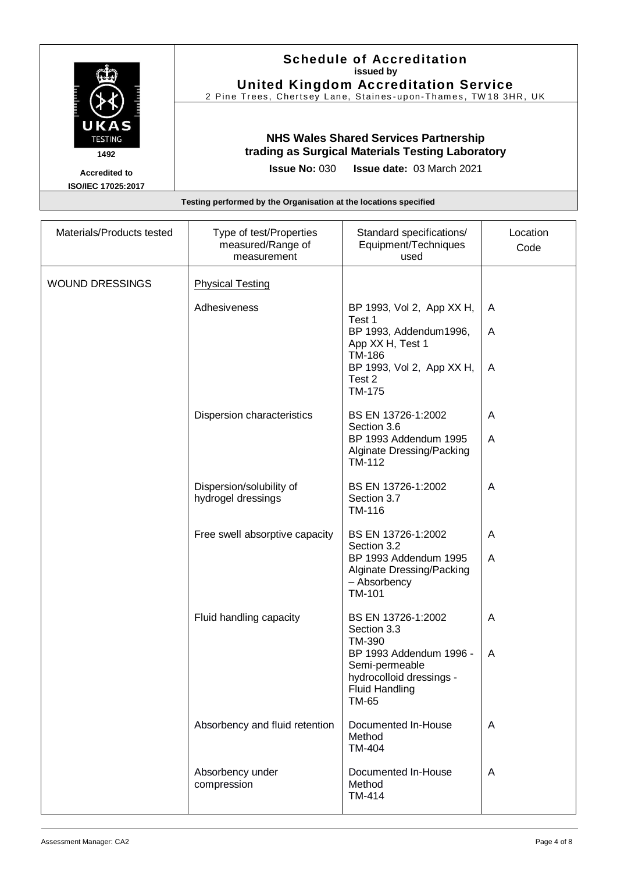| UKAS<br><b>TESTING</b><br>1492             | <b>Schedule of Accreditation</b><br>issued by<br><b>United Kingdom Accreditation Service</b><br>2 Pine Trees, Chertsey Lane, Staines-upon-Thames, TW18 3HR, UK |
|--------------------------------------------|----------------------------------------------------------------------------------------------------------------------------------------------------------------|
|                                            | <b>NHS Wales Shared Services Partnership</b><br>trading as Surgical Materials Testing Laboratory                                                               |
| <b>Accredited to</b><br>ISO/IEC 17025:2017 | <b>Issue No: 030 Issue date: 03 March 2021</b>                                                                                                                 |
|                                            | Testing performed by the Organisation at the locations specified                                                                                               |

| Materials/Products tested | Type of test/Properties<br>measured/Range of<br>measurement | Standard specifications/<br>Equipment/Techniques<br>used                                                                        | Location<br>Code |
|---------------------------|-------------------------------------------------------------|---------------------------------------------------------------------------------------------------------------------------------|------------------|
| <b>WOUND DRESSINGS</b>    | <b>Physical Testing</b>                                     |                                                                                                                                 |                  |
|                           | Adhesiveness                                                | BP 1993, Vol 2, App XX H,<br>Test 1                                                                                             | A                |
|                           |                                                             | BP 1993, Addendum1996,<br>App XX H, Test 1                                                                                      | A                |
|                           |                                                             | TM-186<br>BP 1993, Vol 2, App XX H,<br>Test 2<br><b>TM-175</b>                                                                  | A                |
|                           | Dispersion characteristics                                  | BS EN 13726-1:2002<br>Section 3.6                                                                                               | A                |
|                           |                                                             | BP 1993 Addendum 1995<br>Alginate Dressing/Packing<br>TM-112                                                                    | A                |
|                           | Dispersion/solubility of<br>hydrogel dressings              | BS EN 13726-1:2002<br>Section 3.7<br>TM-116                                                                                     | A                |
|                           | Free swell absorptive capacity                              | BS EN 13726-1:2002<br>Section 3.2                                                                                               | A                |
|                           |                                                             | BP 1993 Addendum 1995<br>Alginate Dressing/Packing<br>- Absorbency<br>TM-101                                                    | A                |
|                           | Fluid handling capacity                                     | BS EN 13726-1:2002<br>Section 3.3                                                                                               | A                |
|                           |                                                             | <b>TM-390</b><br>BP 1993 Addendum 1996 -<br>Semi-permeable<br>hydrocolloid dressings -<br><b>Fluid Handling</b><br><b>TM-65</b> | A                |
|                           | Absorbency and fluid retention                              | Documented In-House<br>Method<br>TM-404                                                                                         | A                |
|                           | Absorbency under<br>compression                             | Documented In-House<br>Method<br><b>TM-414</b>                                                                                  | A                |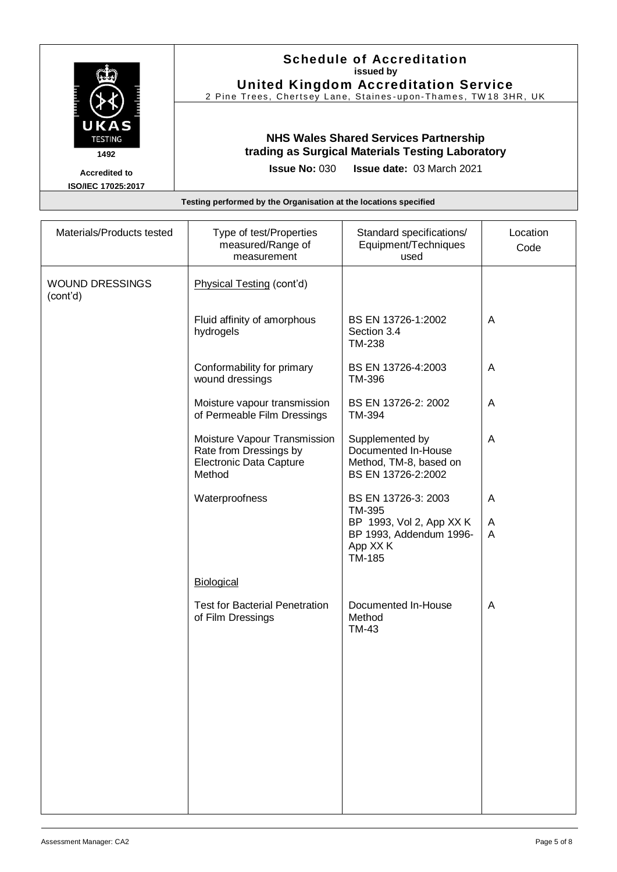| UKAS<br><b>TESTING</b><br>1492                    | <b>Schedule of Accreditation</b><br>issued by<br><b>United Kingdom Accreditation Service</b><br>2 Pine Trees, Chertsey Lane, Staines-upon-Thames, TW18 3HR, UK |
|---------------------------------------------------|----------------------------------------------------------------------------------------------------------------------------------------------------------------|
|                                                   | <b>NHS Wales Shared Services Partnership</b><br>trading as Surgical Materials Testing Laboratory                                                               |
| <b>Accredited to</b><br><b>ISO/IEC 17025:2017</b> | <b>Issue No: <math>030</math></b><br><b>Issue date: 03 March 2021</b>                                                                                          |
|                                                   | Testing performed by the Organisation at the locations specified                                                                                               |

| Materials/Products tested          | Type of test/Properties<br>measured/Range of<br>measurement                                        | Standard specifications/<br>Equipment/Techniques<br>used                                                   | Location<br>Code |
|------------------------------------|----------------------------------------------------------------------------------------------------|------------------------------------------------------------------------------------------------------------|------------------|
| <b>WOUND DRESSINGS</b><br>(cont'd) | Physical Testing (cont'd)                                                                          |                                                                                                            |                  |
|                                    | Fluid affinity of amorphous<br>hydrogels                                                           | BS EN 13726-1:2002<br>Section 3.4<br><b>TM-238</b>                                                         | A                |
|                                    | Conformability for primary<br>wound dressings                                                      | BS EN 13726-4:2003<br>TM-396                                                                               | A                |
|                                    | Moisture vapour transmission<br>of Permeable Film Dressings                                        | BS EN 13726-2: 2002<br>TM-394                                                                              | A                |
|                                    | Moisture Vapour Transmission<br>Rate from Dressings by<br><b>Electronic Data Capture</b><br>Method | Supplemented by<br>Documented In-House<br>Method, TM-8, based on<br>BS EN 13726-2:2002                     | A                |
|                                    | Waterproofness                                                                                     | BS EN 13726-3: 2003<br>TM-395<br>BP 1993, Vol 2, App XX K<br>BP 1993, Addendum 1996-<br>App XX K<br>TM-185 | A<br>A<br>A      |
|                                    | Biological                                                                                         |                                                                                                            |                  |
|                                    | <b>Test for Bacterial Penetration</b><br>of Film Dressings                                         | Documented In-House<br>Method<br><b>TM-43</b>                                                              | A                |
|                                    |                                                                                                    |                                                                                                            |                  |
|                                    |                                                                                                    |                                                                                                            |                  |
|                                    |                                                                                                    |                                                                                                            |                  |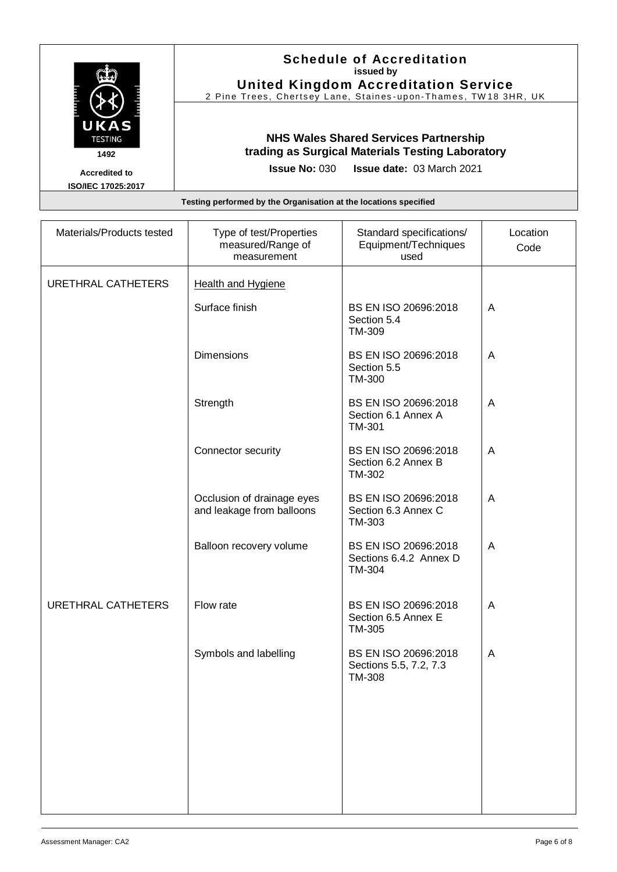| UKAS<br><b>TESTING</b><br>1492             | <b>Schedule of Accreditation</b><br>issued by<br><b>United Kingdom Accreditation Service</b><br>2 Pine Trees, Chertsey Lane, Staines-upon-Thames, TW18 3HR, UK |
|--------------------------------------------|----------------------------------------------------------------------------------------------------------------------------------------------------------------|
|                                            | <b>NHS Wales Shared Services Partnership</b><br>trading as Surgical Materials Testing Laboratory                                                               |
| <b>Accredited to</b><br>ISO/IEC 17025:2017 | <b>Issue No: 030 Issue date: 03 March 2021</b>                                                                                                                 |
|                                            | Testing performed by the Organisation at the locations specified                                                                                               |

| Materials/Products tested | Type of test/Properties<br>measured/Range of<br>measurement | Standard specifications/<br>Equipment/Techniques<br>used        | Location<br>Code |
|---------------------------|-------------------------------------------------------------|-----------------------------------------------------------------|------------------|
| URETHRAL CATHETERS        | Health and Hygiene                                          |                                                                 |                  |
|                           | Surface finish                                              | BS EN ISO 20696:2018<br>Section 5.4<br>TM-309                   | A                |
|                           | <b>Dimensions</b>                                           | BS EN ISO 20696:2018<br>Section 5.5<br>TM-300                   | A                |
|                           | Strength                                                    | BS EN ISO 20696:2018<br>Section 6.1 Annex A<br>TM-301           | A                |
|                           | Connector security                                          | BS EN ISO 20696:2018<br>Section 6.2 Annex B<br>TM-302           | A                |
|                           | Occlusion of drainage eyes<br>and leakage from balloons     | BS EN ISO 20696:2018<br>Section 6.3 Annex C<br>TM-303           | A                |
|                           | Balloon recovery volume                                     | BS EN ISO 20696:2018<br>Sections 6.4.2 Annex D<br>TM-304        | A                |
| <b>URETHRAL CATHETERS</b> | Flow rate                                                   | BS EN ISO 20696:2018<br>Section 6.5 Annex E<br>TM-305           | A                |
|                           | Symbols and labelling                                       | BS EN ISO 20696:2018<br>Sections 5.5, 7.2, 7.3<br><b>TM-308</b> | A                |
|                           |                                                             |                                                                 |                  |
|                           |                                                             |                                                                 |                  |
|                           |                                                             |                                                                 |                  |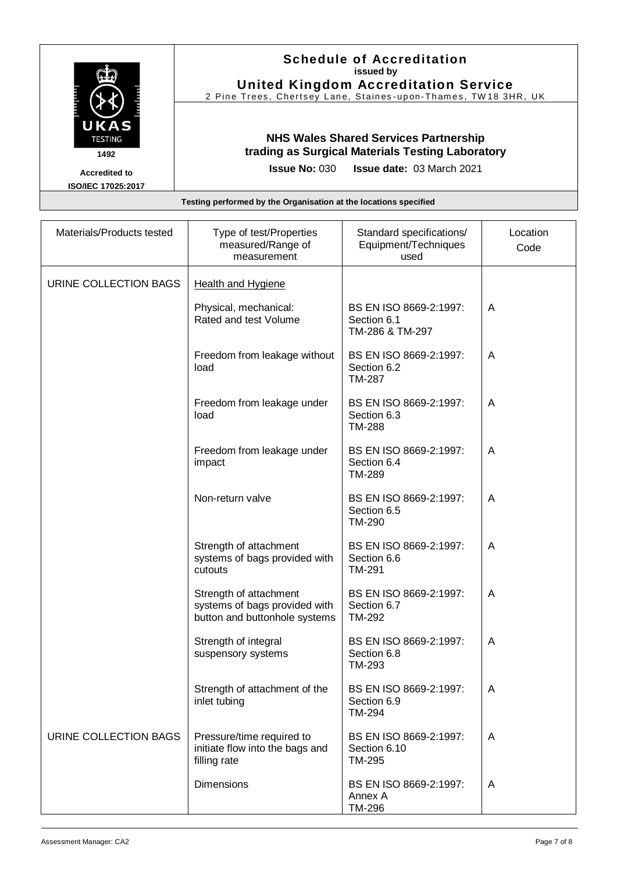| UKAS<br><b>TESTING</b><br>1492             | <b>Schedule of Accreditation</b><br>issued by<br><b>United Kingdom Accreditation Service</b><br>2 Pine Trees, Chertsey Lane, Staines-upon-Thames, TW18 3HR, UK |
|--------------------------------------------|----------------------------------------------------------------------------------------------------------------------------------------------------------------|
|                                            | <b>NHS Wales Shared Services Partnership</b><br>trading as Surgical Materials Testing Laboratory                                                               |
| <b>Accredited to</b><br>ISO/IEC 17025:2017 | <b>Issue date: 03 March 2021</b><br><b>Issue No: 030</b>                                                                                                       |
|                                            | Testing performed by the Organisation at the locations specified                                                                                               |

| Materials/Products tested | Type of test/Properties<br>measured/Range of<br>measurement                              | Standard specifications/<br>Equipment/Techniques<br>used | Location<br>Code |
|---------------------------|------------------------------------------------------------------------------------------|----------------------------------------------------------|------------------|
| URINE COLLECTION BAGS     | <b>Health and Hygiene</b>                                                                |                                                          |                  |
|                           | Physical, mechanical:<br>Rated and test Volume                                           | BS EN ISO 8669-2:1997:<br>Section 6.1<br>TM-286 & TM-297 | A                |
|                           | Freedom from leakage without<br>load                                                     | BS EN ISO 8669-2:1997:<br>Section 6.2<br>TM-287          | A                |
|                           | Freedom from leakage under<br>load                                                       | BS EN ISO 8669-2:1997:<br>Section 6.3<br><b>TM-288</b>   | Α                |
|                           | Freedom from leakage under<br>impact                                                     | BS EN ISO 8669-2:1997:<br>Section 6.4<br><b>TM-289</b>   | A                |
|                           | Non-return valve                                                                         | BS EN ISO 8669-2:1997:<br>Section 6.5<br>TM-290          | A                |
|                           | Strength of attachment<br>systems of bags provided with<br>cutouts                       | BS EN ISO 8669-2:1997:<br>Section 6.6<br>TM-291          | Α                |
|                           | Strength of attachment<br>systems of bags provided with<br>button and buttonhole systems | BS EN ISO 8669-2:1997:<br>Section 6.7<br>TM-292          | A                |
|                           | Strength of integral<br>suspensory systems                                               | BS EN ISO 8669-2:1997:<br>Section 6.8<br>TM-293          | A                |
|                           | Strength of attachment of the<br>inlet tubing                                            | BS EN ISO 8669-2:1997:<br>Section 6.9<br><b>TM-294</b>   | A                |
| URINE COLLECTION BAGS     | Pressure/time required to<br>initiate flow into the bags and<br>filling rate             | BS EN ISO 8669-2:1997:<br>Section 6.10<br>TM-295         | A                |
|                           | <b>Dimensions</b>                                                                        | BS EN ISO 8669-2:1997:<br>Annex A<br>TM-296              | A                |